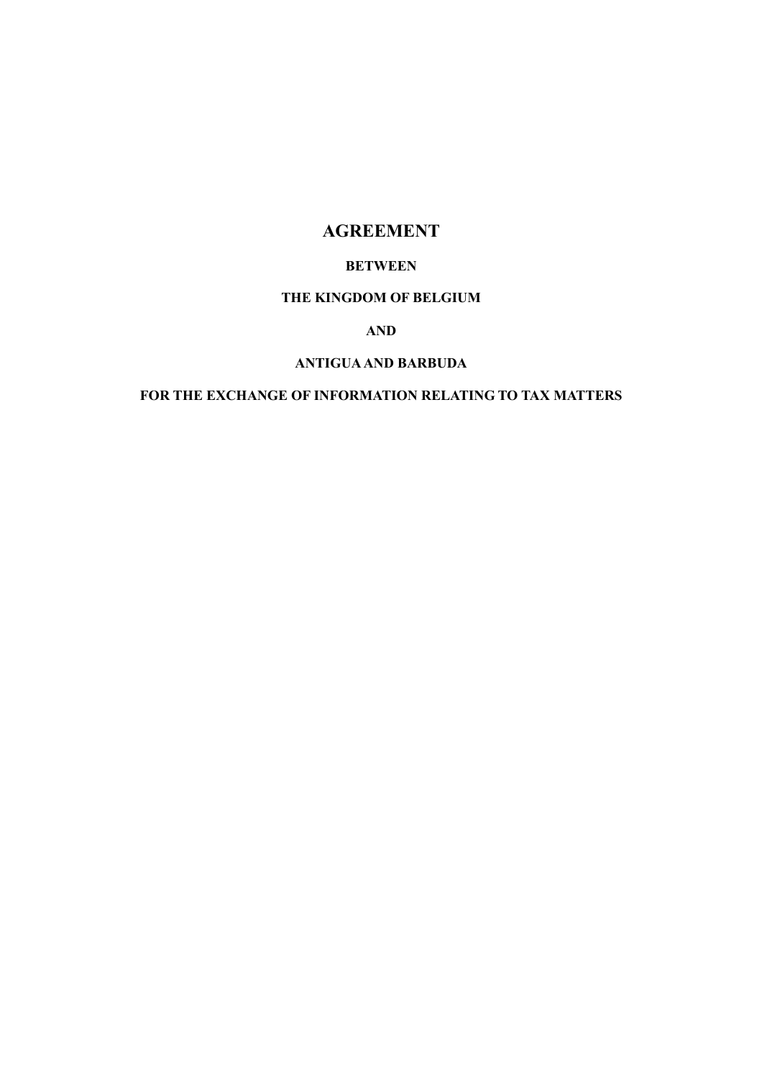# AGREEMENT

## BETWEEN

## THE KINGDOM OF BELGIUM

## AND

## ANTIGUA AND BARBUDA

## FOR THE EXCHANGE OF INFORMATION RELATING TO TAX MATTERS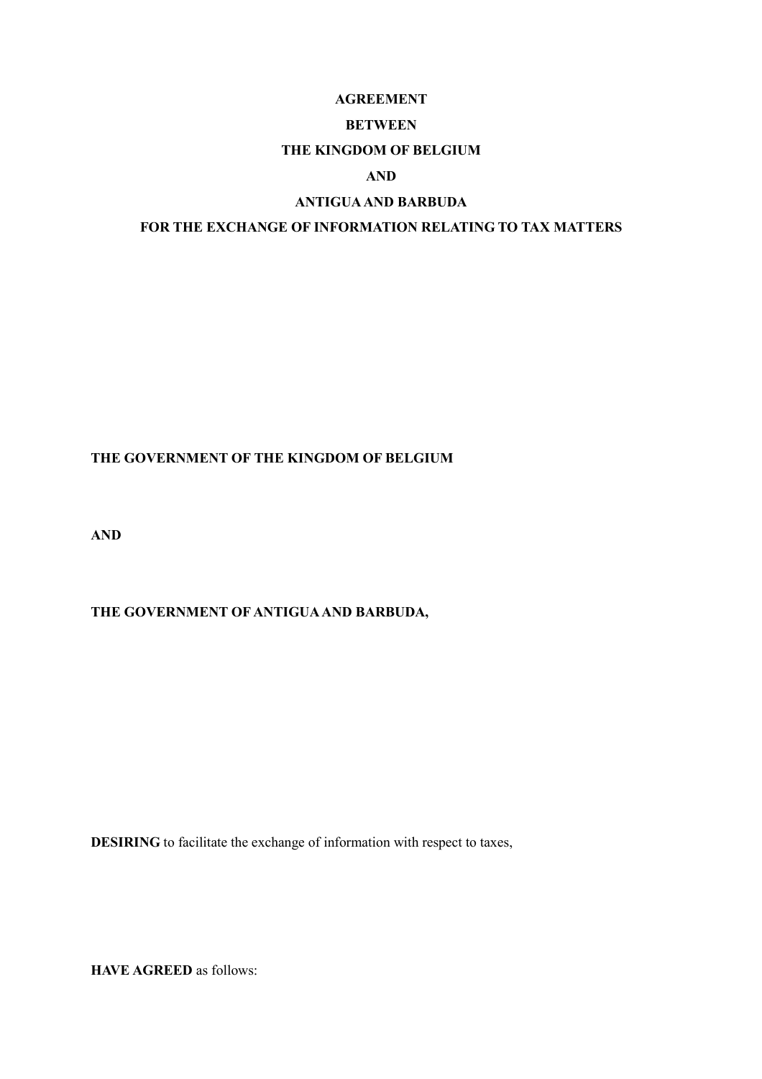## AGREEMENT

### **BETWEEN**

## THE KINGDOM OF BELGIUM

### AND

### ANTIGUA AND BARBUDA

## FOR THE EXCHANGE OF INFORMATION RELATING TO TAX MATTERS

## THE GOVERNMENT OF THE KINGDOM OF BELGIUM

AND

## THE GOVERNMENT OF ANTIGUA AND BARBUDA,

DESIRING to facilitate the exchange of information with respect to taxes,

HAVE AGREED as follows: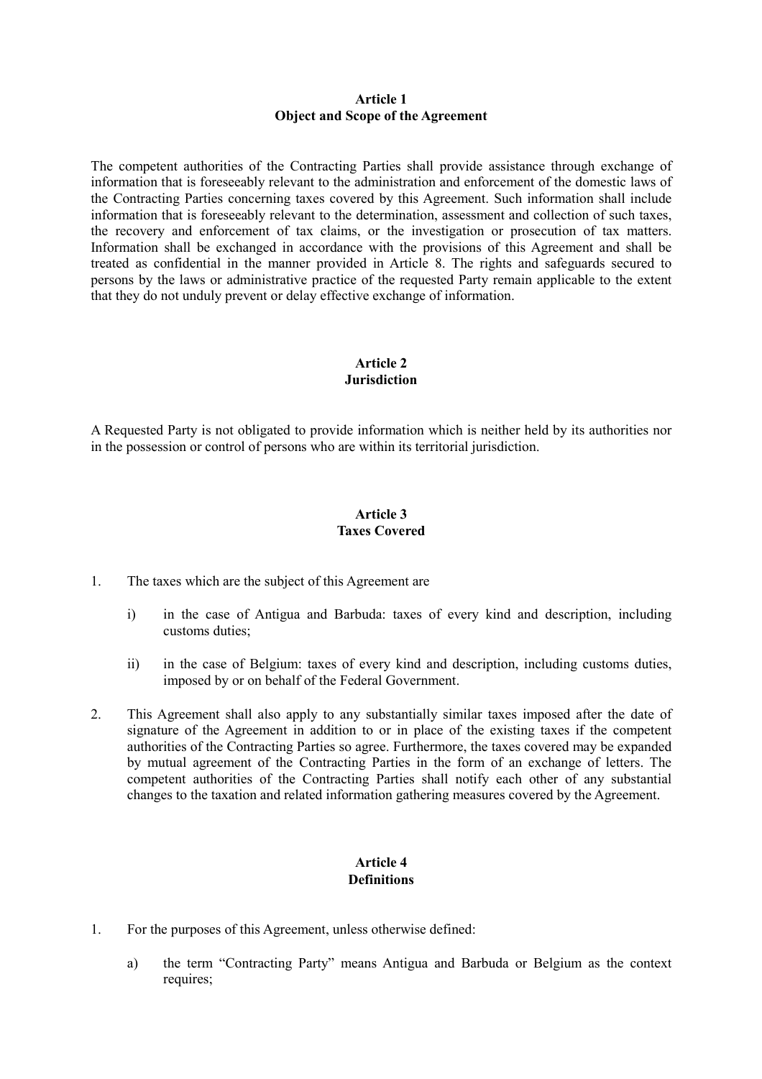#### Article 1 Object and Scope of the Agreement

The competent authorities of the Contracting Parties shall provide assistance through exchange of information that is foreseeably relevant to the administration and enforcement of the domestic laws of the Contracting Parties concerning taxes covered by this Agreement. Such information shall include information that is foreseeably relevant to the determination, assessment and collection of such taxes, the recovery and enforcement of tax claims, or the investigation or prosecution of tax matters. Information shall be exchanged in accordance with the provisions of this Agreement and shall be treated as confidential in the manner provided in Article 8. The rights and safeguards secured to persons by the laws or administrative practice of the requested Party remain applicable to the extent that they do not unduly prevent or delay effective exchange of information.

#### Article 2 Jurisdiction

A Requested Party is not obligated to provide information which is neither held by its authorities nor in the possession or control of persons who are within its territorial jurisdiction.

## Article 3 Taxes Covered

- 1. The taxes which are the subject of this Agreement are
	- i) in the case of Antigua and Barbuda: taxes of every kind and description, including customs duties;
	- ii) in the case of Belgium: taxes of every kind and description, including customs duties, imposed by or on behalf of the Federal Government.
- 2. This Agreement shall also apply to any substantially similar taxes imposed after the date of signature of the Agreement in addition to or in place of the existing taxes if the competent authorities of the Contracting Parties so agree. Furthermore, the taxes covered may be expanded by mutual agreement of the Contracting Parties in the form of an exchange of letters. The competent authorities of the Contracting Parties shall notify each other of any substantial changes to the taxation and related information gathering measures covered by the Agreement.

### Article 4 **Definitions**

- 1. For the purposes of this Agreement, unless otherwise defined:
	- a) the term "Contracting Party" means Antigua and Barbuda or Belgium as the context requires;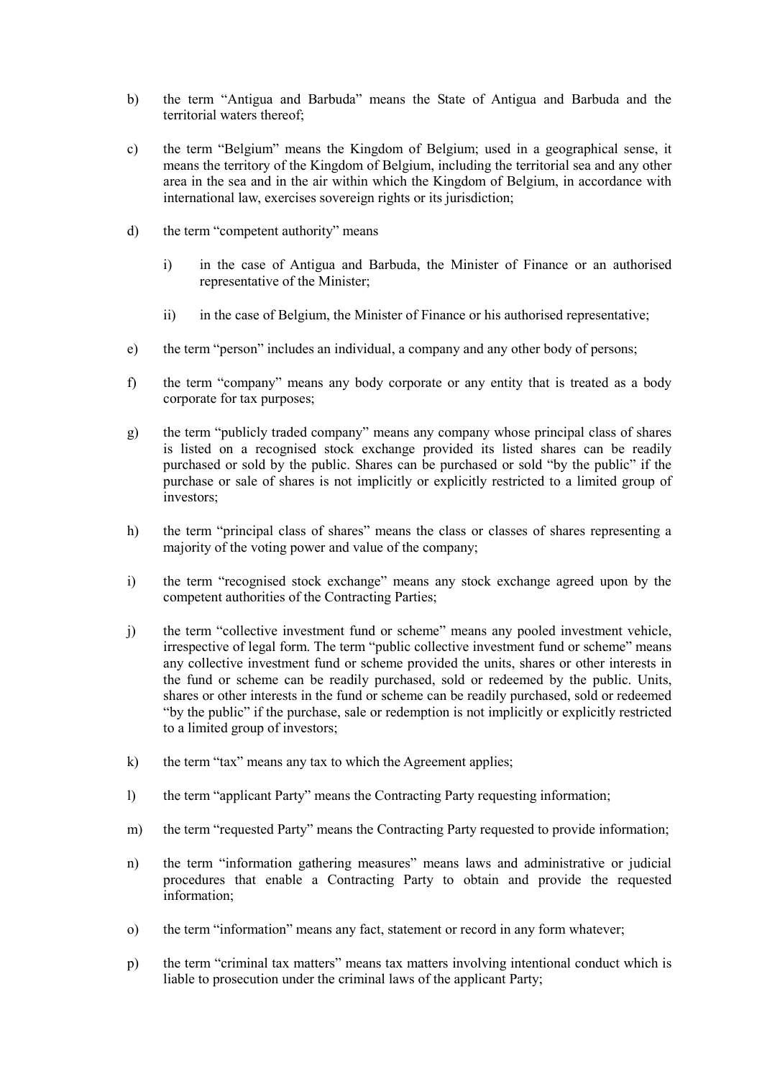- b) the term "Antigua and Barbuda" means the State of Antigua and Barbuda and the territorial waters thereof;
- c) the term "Belgium" means the Kingdom of Belgium; used in a geographical sense, it means the territory of the Kingdom of Belgium, including the territorial sea and any other area in the sea and in the air within which the Kingdom of Belgium, in accordance with international law, exercises sovereign rights or its jurisdiction;
- d) the term "competent authority" means
	- i) in the case of Antigua and Barbuda, the Minister of Finance or an authorised representative of the Minister;
	- ii) in the case of Belgium, the Minister of Finance or his authorised representative;
- e) the term "person" includes an individual, a company and any other body of persons;
- f) the term "company" means any body corporate or any entity that is treated as a body corporate for tax purposes;
- g) the term "publicly traded company" means any company whose principal class of shares is listed on a recognised stock exchange provided its listed shares can be readily purchased or sold by the public. Shares can be purchased or sold "by the public" if the purchase or sale of shares is not implicitly or explicitly restricted to a limited group of investors;
- h) the term "principal class of shares" means the class or classes of shares representing a majority of the voting power and value of the company;
- i) the term "recognised stock exchange" means any stock exchange agreed upon by the competent authorities of the Contracting Parties;
- j) the term "collective investment fund or scheme" means any pooled investment vehicle, irrespective of legal form. The term "public collective investment fund or scheme" means any collective investment fund or scheme provided the units, shares or other interests in the fund or scheme can be readily purchased, sold or redeemed by the public. Units, shares or other interests in the fund or scheme can be readily purchased, sold or redeemed "by the public" if the purchase, sale or redemption is not implicitly or explicitly restricted to a limited group of investors;
- k) the term "tax" means any tax to which the Agreement applies;
- l) the term "applicant Party" means the Contracting Party requesting information;
- m) the term "requested Party" means the Contracting Party requested to provide information;
- n) the term "information gathering measures" means laws and administrative or judicial procedures that enable a Contracting Party to obtain and provide the requested information;
- o) the term "information" means any fact, statement or record in any form whatever;
- p) the term "criminal tax matters" means tax matters involving intentional conduct which is liable to prosecution under the criminal laws of the applicant Party;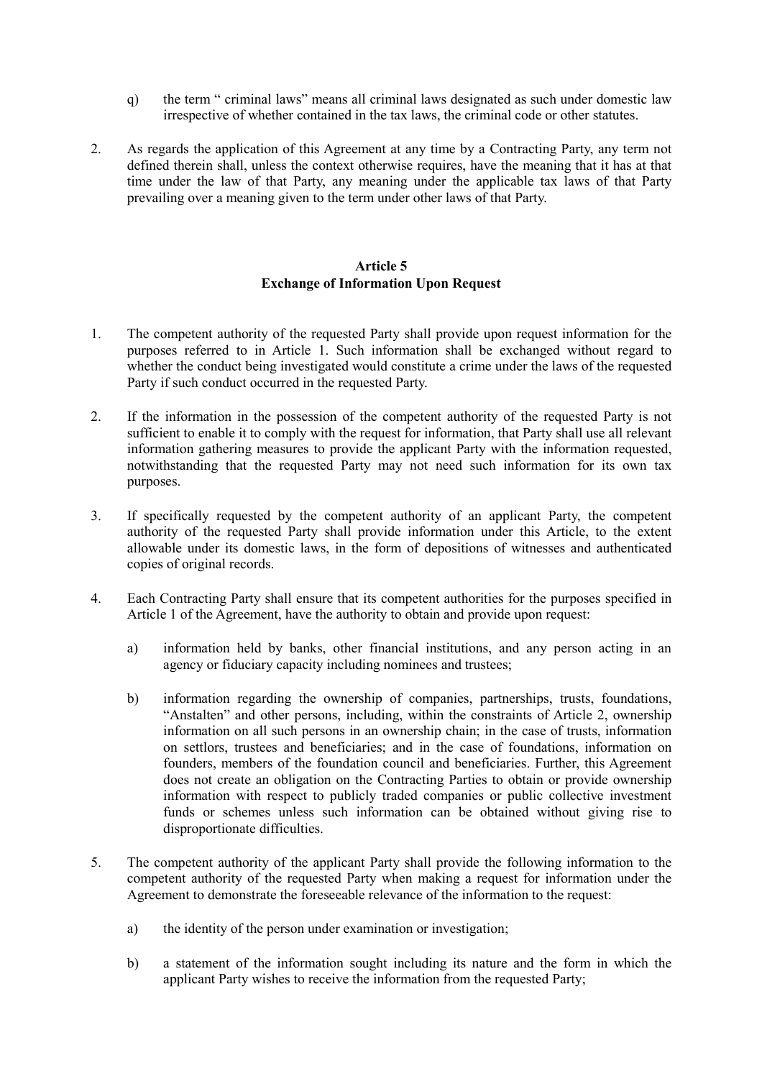- q) the term " criminal laws" means all criminal laws designated as such under domestic law irrespective of whether contained in the tax laws, the criminal code or other statutes.
- 2. As regards the application of this Agreement at any time by a Contracting Party, any term not defined therein shall, unless the context otherwise requires, have the meaning that it has at that time under the law of that Party, any meaning under the applicable tax laws of that Party prevailing over a meaning given to the term under other laws of that Party.

### Article 5 Exchange of Information Upon Request

- 1. The competent authority of the requested Party shall provide upon request information for the purposes referred to in Article 1. Such information shall be exchanged without regard to whether the conduct being investigated would constitute a crime under the laws of the requested Party if such conduct occurred in the requested Party.
- 2. If the information in the possession of the competent authority of the requested Party is not sufficient to enable it to comply with the request for information, that Party shall use all relevant information gathering measures to provide the applicant Party with the information requested, notwithstanding that the requested Party may not need such information for its own tax purposes.
- 3. If specifically requested by the competent authority of an applicant Party, the competent authority of the requested Party shall provide information under this Article, to the extent allowable under its domestic laws, in the form of depositions of witnesses and authenticated copies of original records.
- 4. Each Contracting Party shall ensure that its competent authorities for the purposes specified in Article 1 of the Agreement, have the authority to obtain and provide upon request:
	- a) information held by banks, other financial institutions, and any person acting in an agency or fiduciary capacity including nominees and trustees;
	- b) information regarding the ownership of companies, partnerships, trusts, foundations, "Anstalten" and other persons, including, within the constraints of Article 2, ownership information on all such persons in an ownership chain; in the case of trusts, information on settlors, trustees and beneficiaries; and in the case of foundations, information on founders, members of the foundation council and beneficiaries. Further, this Agreement does not create an obligation on the Contracting Parties to obtain or provide ownership information with respect to publicly traded companies or public collective investment funds or schemes unless such information can be obtained without giving rise to disproportionate difficulties.
- 5. The competent authority of the applicant Party shall provide the following information to the competent authority of the requested Party when making a request for information under the Agreement to demonstrate the foreseeable relevance of the information to the request:
	- a) the identity of the person under examination or investigation;
	- b) a statement of the information sought including its nature and the form in which the applicant Party wishes to receive the information from the requested Party;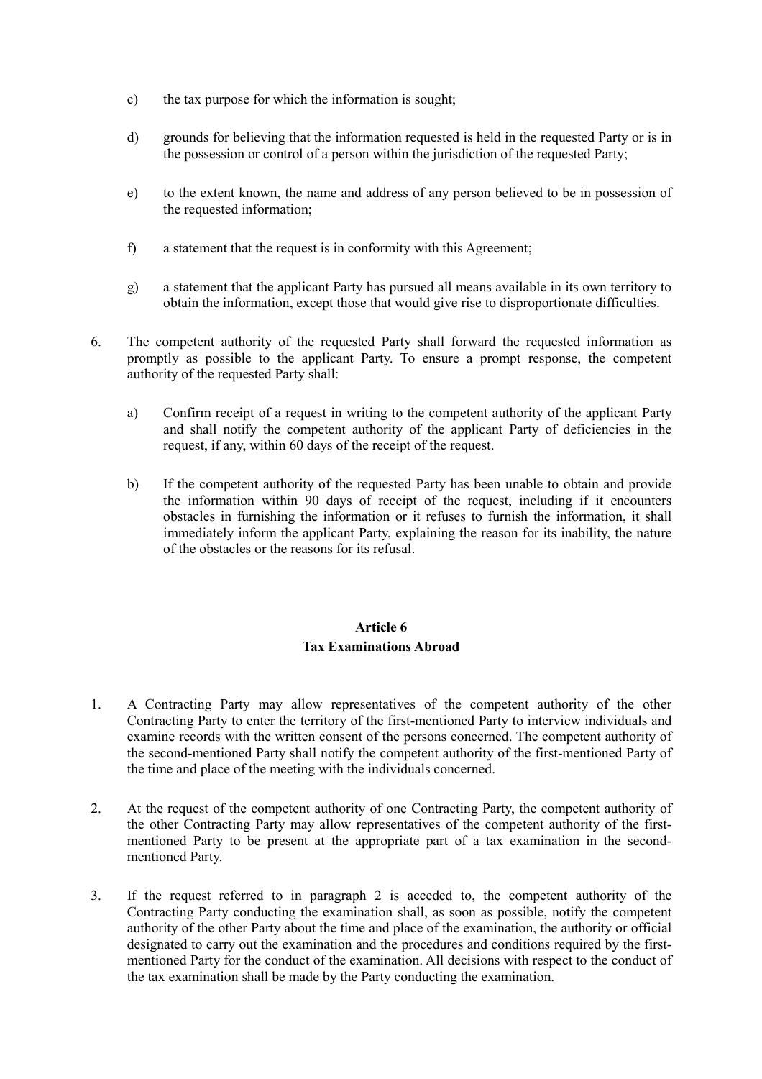- c) the tax purpose for which the information is sought;
- d) grounds for believing that the information requested is held in the requested Party or is in the possession or control of a person within the jurisdiction of the requested Party;
- e) to the extent known, the name and address of any person believed to be in possession of the requested information;
- f) a statement that the request is in conformity with this Agreement;
- g) a statement that the applicant Party has pursued all means available in its own territory to obtain the information, except those that would give rise to disproportionate difficulties.
- 6. The competent authority of the requested Party shall forward the requested information as promptly as possible to the applicant Party. To ensure a prompt response, the competent authority of the requested Party shall:
	- a) Confirm receipt of a request in writing to the competent authority of the applicant Party and shall notify the competent authority of the applicant Party of deficiencies in the request, if any, within 60 days of the receipt of the request.
	- b) If the competent authority of the requested Party has been unable to obtain and provide the information within 90 days of receipt of the request, including if it encounters obstacles in furnishing the information or it refuses to furnish the information, it shall immediately inform the applicant Party, explaining the reason for its inability, the nature of the obstacles or the reasons for its refusal.

## Article 6 Tax Examinations Abroad

- 1. A Contracting Party may allow representatives of the competent authority of the other Contracting Party to enter the territory of the first-mentioned Party to interview individuals and examine records with the written consent of the persons concerned. The competent authority of the second-mentioned Party shall notify the competent authority of the first-mentioned Party of the time and place of the meeting with the individuals concerned.
- 2. At the request of the competent authority of one Contracting Party, the competent authority of the other Contracting Party may allow representatives of the competent authority of the firstmentioned Party to be present at the appropriate part of a tax examination in the secondmentioned Party.
- 3. If the request referred to in paragraph 2 is acceded to, the competent authority of the Contracting Party conducting the examination shall, as soon as possible, notify the competent authority of the other Party about the time and place of the examination, the authority or official designated to carry out the examination and the procedures and conditions required by the firstmentioned Party for the conduct of the examination. All decisions with respect to the conduct of the tax examination shall be made by the Party conducting the examination.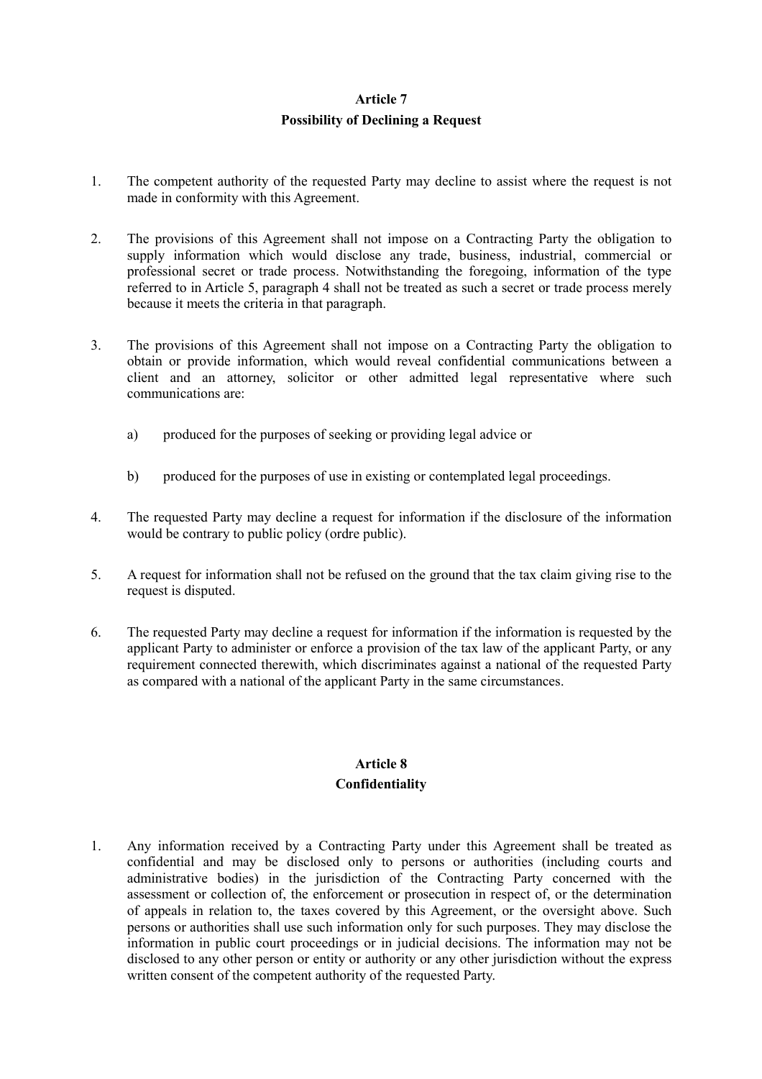## Article 7 Possibility of Declining a Request

- 1. The competent authority of the requested Party may decline to assist where the request is not made in conformity with this Agreement.
- 2. The provisions of this Agreement shall not impose on a Contracting Party the obligation to supply information which would disclose any trade, business, industrial, commercial or professional secret or trade process. Notwithstanding the foregoing, information of the type referred to in Article 5, paragraph 4 shall not be treated as such a secret or trade process merely because it meets the criteria in that paragraph.
- 3. The provisions of this Agreement shall not impose on a Contracting Party the obligation to obtain or provide information, which would reveal confidential communications between a client and an attorney, solicitor or other admitted legal representative where such communications are:
	- a) produced for the purposes of seeking or providing legal advice or
	- b) produced for the purposes of use in existing or contemplated legal proceedings.
- 4. The requested Party may decline a request for information if the disclosure of the information would be contrary to public policy (ordre public).
- 5. A request for information shall not be refused on the ground that the tax claim giving rise to the request is disputed.
- 6. The requested Party may decline a request for information if the information is requested by the applicant Party to administer or enforce a provision of the tax law of the applicant Party, or any requirement connected therewith, which discriminates against a national of the requested Party as compared with a national of the applicant Party in the same circumstances.

## Article 8 **Confidentiality**

1. Any information received by a Contracting Party under this Agreement shall be treated as confidential and may be disclosed only to persons or authorities (including courts and administrative bodies) in the jurisdiction of the Contracting Party concerned with the assessment or collection of, the enforcement or prosecution in respect of, or the determination of appeals in relation to, the taxes covered by this Agreement, or the oversight above. Such persons or authorities shall use such information only for such purposes. They may disclose the information in public court proceedings or in judicial decisions. The information may not be disclosed to any other person or entity or authority or any other jurisdiction without the express written consent of the competent authority of the requested Party.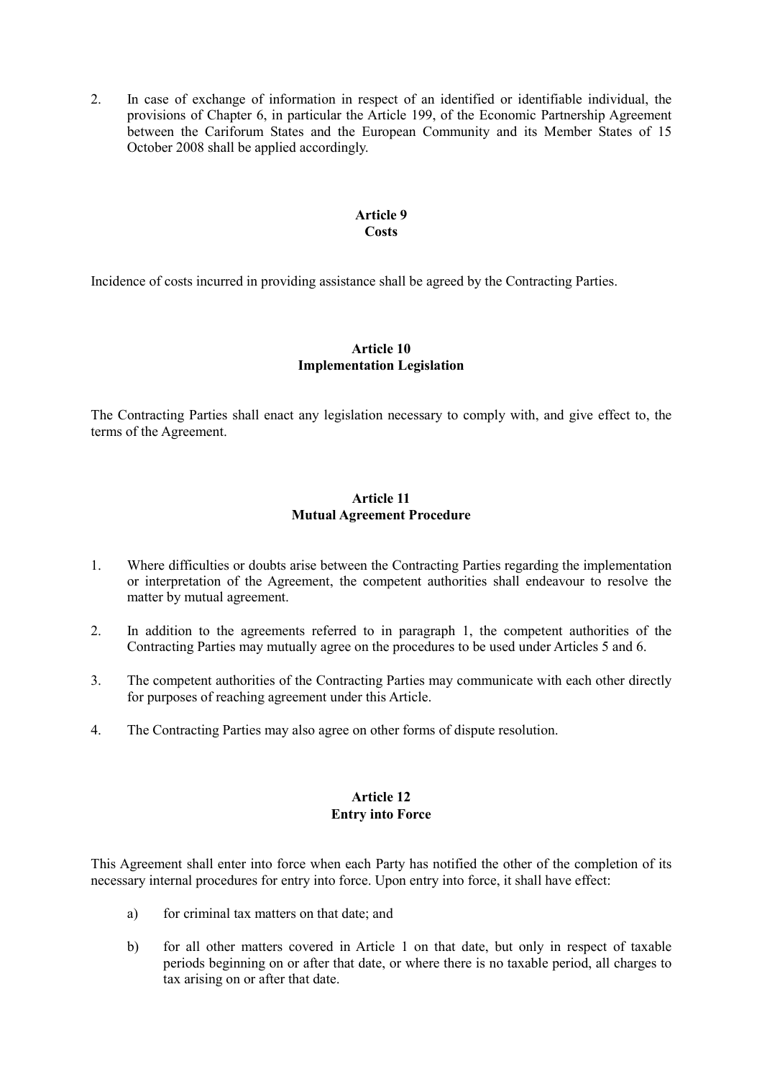2. In case of exchange of information in respect of an identified or identifiable individual, the provisions of Chapter 6, in particular the Article 199, of the Economic Partnership Agreement between the Cariforum States and the European Community and its Member States of 15 October 2008 shall be applied accordingly.

### Article 9 **Costs**

Incidence of costs incurred in providing assistance shall be agreed by the Contracting Parties.

### Article 10 Implementation Legislation

The Contracting Parties shall enact any legislation necessary to comply with, and give effect to, the terms of the Agreement.

#### Article 11 Mutual Agreement Procedure

- 1. Where difficulties or doubts arise between the Contracting Parties regarding the implementation or interpretation of the Agreement, the competent authorities shall endeavour to resolve the matter by mutual agreement.
- 2. In addition to the agreements referred to in paragraph 1, the competent authorities of the Contracting Parties may mutually agree on the procedures to be used under Articles 5 and 6.
- 3. The competent authorities of the Contracting Parties may communicate with each other directly for purposes of reaching agreement under this Article.
- 4. The Contracting Parties may also agree on other forms of dispute resolution.

### Article 12 Entry into Force

This Agreement shall enter into force when each Party has notified the other of the completion of its necessary internal procedures for entry into force. Upon entry into force, it shall have effect:

- a) for criminal tax matters on that date; and
- b) for all other matters covered in Article 1 on that date, but only in respect of taxable periods beginning on or after that date, or where there is no taxable period, all charges to tax arising on or after that date.